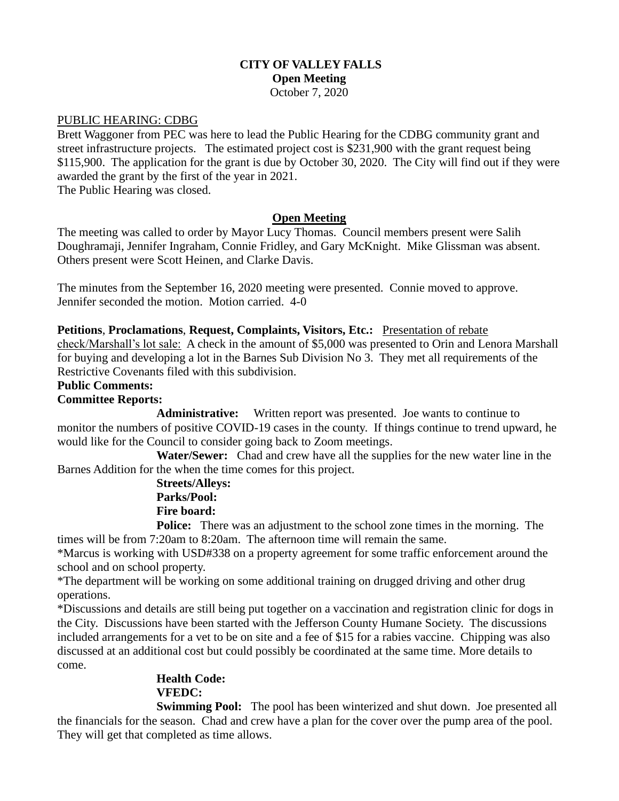# **CITY OF VALLEY FALLS Open Meeting** October 7, 2020

### PUBLIC HEARING: CDBG

Brett Waggoner from PEC was here to lead the Public Hearing for the CDBG community grant and street infrastructure projects. The estimated project cost is \$231,900 with the grant request being \$115,900. The application for the grant is due by October 30, 2020. The City will find out if they were awarded the grant by the first of the year in 2021.

The Public Hearing was closed.

## **Open Meeting**

The meeting was called to order by Mayor Lucy Thomas. Council members present were Salih Doughramaji, Jennifer Ingraham, Connie Fridley, and Gary McKnight. Mike Glissman was absent. Others present were Scott Heinen, and Clarke Davis.

The minutes from the September 16, 2020 meeting were presented. Connie moved to approve. Jennifer seconded the motion. Motion carried. 4-0

**Petitions**, **Proclamations**, **Request, Complaints, Visitors, Etc.:** Presentation of rebate check/Marshall's lot sale: A check in the amount of \$5,000 was presented to Orin and Lenora Marshall for buying and developing a lot in the Barnes Sub Division No 3. They met all requirements of the Restrictive Covenants filed with this subdivision.

### **Public Comments:**

### **Committee Reports:**

**Administrative:** Written report was presented. Joe wants to continue to monitor the numbers of positive COVID-19 cases in the county. If things continue to trend upward, he would like for the Council to consider going back to Zoom meetings.

 **Water/Sewer:** Chad and crew have all the supplies for the new water line in the Barnes Addition for the when the time comes for this project.

## **Streets/Alleys: Parks/Pool: Fire board:**

**Police:** There was an adjustment to the school zone times in the morning. The times will be from 7:20am to 8:20am. The afternoon time will remain the same.

\*Marcus is working with USD#338 on a property agreement for some traffic enforcement around the school and on school property.

\*The department will be working on some additional training on drugged driving and other drug operations.

\*Discussions and details are still being put together on a vaccination and registration clinic for dogs in the City. Discussions have been started with the Jefferson County Humane Society. The discussions included arrangements for a vet to be on site and a fee of \$15 for a rabies vaccine. Chipping was also discussed at an additional cost but could possibly be coordinated at the same time. More details to come.

# **Health Code: VFEDC:**

**Swimming Pool:** The pool has been winterized and shut down. Joe presented all the financials for the season. Chad and crew have a plan for the cover over the pump area of the pool. They will get that completed as time allows.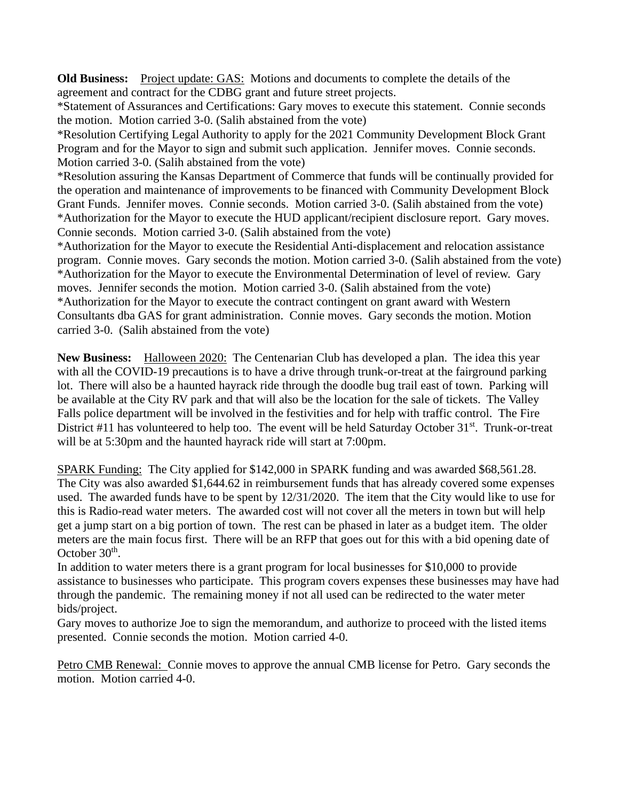**Old Business:** Project update: GAS: Motions and documents to complete the details of the agreement and contract for the CDBG grant and future street projects.

\*Statement of Assurances and Certifications: Gary moves to execute this statement. Connie seconds the motion. Motion carried 3-0. (Salih abstained from the vote)

\*Resolution Certifying Legal Authority to apply for the 2021 Community Development Block Grant Program and for the Mayor to sign and submit such application. Jennifer moves. Connie seconds. Motion carried 3-0. (Salih abstained from the vote)

\*Resolution assuring the Kansas Department of Commerce that funds will be continually provided for the operation and maintenance of improvements to be financed with Community Development Block Grant Funds. Jennifer moves. Connie seconds. Motion carried 3-0. (Salih abstained from the vote) \*Authorization for the Mayor to execute the HUD applicant/recipient disclosure report. Gary moves. Connie seconds. Motion carried 3-0. (Salih abstained from the vote)

\*Authorization for the Mayor to execute the Residential Anti-displacement and relocation assistance program. Connie moves. Gary seconds the motion. Motion carried 3-0. (Salih abstained from the vote) \*Authorization for the Mayor to execute the Environmental Determination of level of review. Gary moves. Jennifer seconds the motion. Motion carried 3-0. (Salih abstained from the vote) \*Authorization for the Mayor to execute the contract contingent on grant award with Western Consultants dba GAS for grant administration. Connie moves. Gary seconds the motion. Motion carried 3-0. (Salih abstained from the vote)

**New Business:** Halloween 2020: The Centenarian Club has developed a plan. The idea this year with all the COVID-19 precautions is to have a drive through trunk-or-treat at the fairground parking lot. There will also be a haunted hayrack ride through the doodle bug trail east of town. Parking will be available at the City RV park and that will also be the location for the sale of tickets. The Valley Falls police department will be involved in the festivities and for help with traffic control. The Fire District #11 has volunteered to help too. The event will be held Saturday October 31<sup>st</sup>. Trunk-or-treat will be at 5:30pm and the haunted hayrack ride will start at 7:00pm.

SPARK Funding: The City applied for \$142,000 in SPARK funding and was awarded \$68,561.28. The City was also awarded \$1,644.62 in reimbursement funds that has already covered some expenses used. The awarded funds have to be spent by 12/31/2020. The item that the City would like to use for this is Radio-read water meters. The awarded cost will not cover all the meters in town but will help get a jump start on a big portion of town. The rest can be phased in later as a budget item. The older meters are the main focus first. There will be an RFP that goes out for this with a bid opening date of October  $30<sup>th</sup>$ .

In addition to water meters there is a grant program for local businesses for \$10,000 to provide assistance to businesses who participate. This program covers expenses these businesses may have had through the pandemic. The remaining money if not all used can be redirected to the water meter bids/project.

Gary moves to authorize Joe to sign the memorandum, and authorize to proceed with the listed items presented. Connie seconds the motion. Motion carried 4-0.

Petro CMB Renewal: Connie moves to approve the annual CMB license for Petro. Gary seconds the motion. Motion carried 4-0.